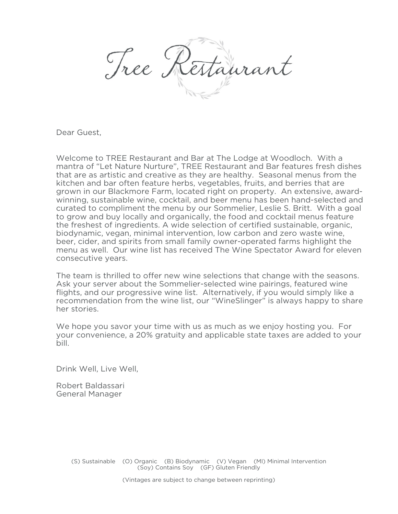Tree K

Dear Guest,

Welcome to TREE Restaurant and Bar at The Lodge at Woodloch. With a mantra of "Let Nature Nurture", TREE Restaurant and Bar features fresh dishes that are as artistic and creative as they are healthy. Seasonal menus from the kitchen and bar often feature herbs, vegetables, fruits, and berries that are grown in our Blackmore Farm, located right on property. An extensive, awardwinning, sustainable wine, cocktail, and beer menu has been hand-selected and curated to compliment the menu by our Sommelier, Leslie S. Britt. With a goal to grow and buy locally and organically, the food and cocktail menus feature the freshest of ingredients. A wide selection of certified sustainable, organic, biodynamic, vegan, minimal intervention, low carbon and zero waste wine, beer, cider, and spirits from small family owner-operated farms highlight the menu as well. Our wine list has received The Wine Spectator Award for eleven consecutive years.

The team is thrilled to offer new wine selections that change with the seasons. Ask your server about the Sommelier-selected wine pairings, featured wine flights, and our progressive wine list. Alternatively, if you would simply like a recommendation from the wine list, our "WineSlinger" is always happy to share her stories.

We hope you savor your time with us as much as we enjoy hosting you. For your convenience, a 20% gratuity and applicable state taxes are added to your bill.

Drink Well, Live Well,

Robert Baldassari General Manager

> (S) Sustainable (O) Organic (B) Biodynamic (V) Vegan (MI) Minimal Intervention (Soy) Contains Soy (GF) Gluten Friendly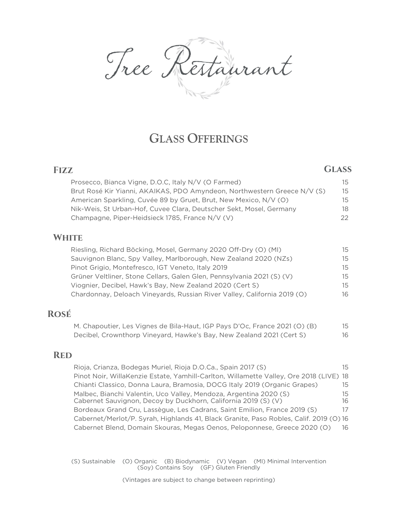Cestaurant Tree K

# **GLASS OFFERINGS**

| <b>FIZZ</b>                                                              |     |
|--------------------------------------------------------------------------|-----|
| Prosecco, Bianca Vigne, D.O.C, Italy N/V (O Farmed)                      | 15  |
| Brut Rosé Kir Yianni, AKAIKAS, PDO Amyndeon, Northwestern Greece N/V (S) | 15  |
| American Sparkling, Cuvée 89 by Gruet, Brut, New Mexico, N/V (O)         | 15. |
| Nik-Weis, St Urban-Hof, Cuvee Clara, Deutscher Sekt, Mosel, Germany      | 18. |
| Champagne, Piper-Heidsieck 1785, France N/V (V)                          |     |
|                                                                          |     |

#### **WHITE**

| Riesling, Richard Böcking, Mosel, Germany 2020 Off-Dry (O) (MI)          | 15. |
|--------------------------------------------------------------------------|-----|
| Sauvignon Blanc, Spy Valley, Marlborough, New Zealand 2020 (NZs)         | 15. |
| Pinot Grigio, Montefresco, IGT Veneto, Italy 2019                        | 15. |
| Grüner Veltliner, Stone Cellars, Galen Glen, Pennsylvania 2021 (S) (V)   | 15. |
| Viognier, Decibel, Hawk's Bay, New Zealand 2020 (Cert S)                 | 15. |
| Chardonnay, Deloach Vineyards, Russian River Valley, California 2019 (O) | 16  |

## **Rosé**

| M. Chapoutier, Les Vignes de Bila-Haut, IGP Pays D'Oc, France 2021 (O) (B) | 15 |
|----------------------------------------------------------------------------|----|
| Decibel, Crownthorp Vineyard, Hawke's Bay, New Zealand 2021 (Cert S)       | 16 |

#### **Red**

Rioja, Crianza, Bodegas Muriel, Rioja D.O.Ca., Spain 2017 (S) 15 Pinot Noir, WillaKenzie Estate, Yamhill-Carlton, Willamette Valley, Ore 2018 (LIVE) 18 Chianti Classico, Donna Laura, Bramosia, DOCG Italy 2019 (Organic Grapes) 15 Malbec, Bianchi Valentin, Uco Valley, Mendoza, Argentina 2020 (S) 15 Cabernet Sauvignon, Decoy by Duckhorn, California 2019 (S) (V) 16 Bordeaux Grand Cru, Lassègue, Les Cadrans, Saint Emilion, France 2019 (S) 17 Cabernet/Merlot/P. Syrah, Highlands 41, Black Granite, Paso Robles, Calif. 2019 (O) 16 Cabernet Blend, Domain Skouras, Megas Oenos, Peloponnese, Greece 2020 (O) 16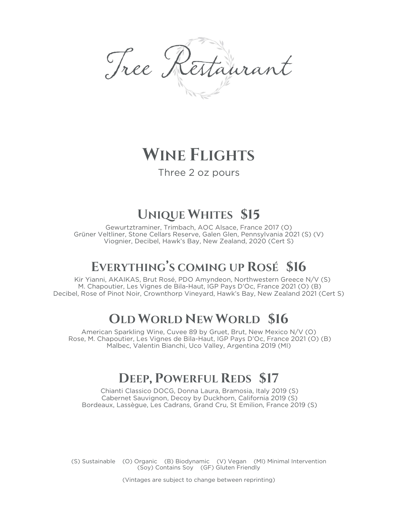Tree Restaurant

# **WINE FLIGHTS**

## Three 2 oz pours

# **UNIQUE WHITES \$15**

Gewurtztraminer, Trimbach, AOC Alsace, France 2017 (O) Grüner Veltliner, Stone Cellars Reserve, Galen Glen, Pennsylvania 2021 (S) (V) Viognier, Decibel, Hawk's Bay, New Zealand, 2020 (Cert S)

# **EVERYTHING'S COMING UP ROSÉ \$16**

Kir Yianni, AKAIKAS, Brut Rosé, PDO Amyndeon, Northwestern Greece N/V (S) M. Chapoutier, Les Vignes de Bila-Haut, IGP Pays D'Oc, France 2021 (O) (B) Decibel, Rose of Pinot Noir, Crownthorp Vineyard, Hawk's Bay, New Zealand 2021 (Cert S)

# **OLD WORLD NEW WORLD \$16**

American Sparkling Wine, Cuvee 89 by Gruet, Brut, New Mexico N/V (O) Rose, M. Chapoutier, Les Vignes de Bila-Haut, IGP Pays D'Oc, France 2021 (O) (B) Malbec, Valentin Bianchi, Uco Valley, Argentina 2019 (MI)

# **DEEP, POWERFUL REDS \$17**

Chianti Classico DOCG, Donna Laura, Bramosia, Italy 2019 (S) Cabernet Sauvignon, Decoy by Duckhorn, California 2019 (S) Bordeaux, Lassègue, Les Cadrans, Grand Cru, St Emilion, France 2019 (S)

(S) Sustainable (O) Organic (B) Biodynamic (V) Vegan (MI) Minimal Intervention (Soy) Contains Soy (GF) Gluten Friendly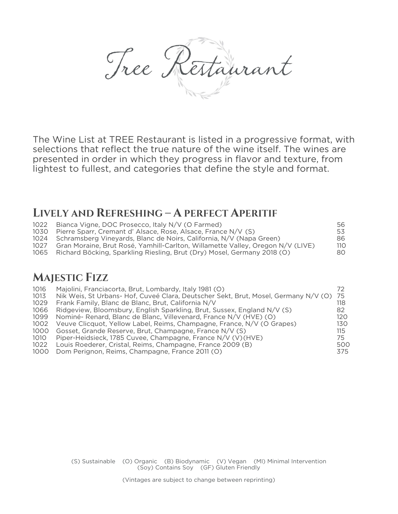Tree Restaurant

The Wine List at TREE Restaurant is listed in a progressive format, with selections that reflect the true nature of the wine itself. The wines are presented in order in which they progress in flavor and texture, from lightest to fullest, and categories that define the style and format.

## **LIVELY AND REFRESHING – A PERFECT APERITIF**

| 1022 | Bianca Vigne, DOC Prosecco, Italy N/V (O Farmed)                               | 56.             |
|------|--------------------------------------------------------------------------------|-----------------|
| 1030 | Pierre Sparr, Cremant d' Alsace, Rose, Alsace, France N/V (S)                  | 53              |
|      | 1024 Schramsberg Vineyards, Blanc de Noirs, California, N/V (Napa Green)       | 86.             |
| 1027 | Gran Moraine, Brut Rosé, Yamhill-Carlton, Willamette Valley, Oregon N/V (LIVE) | 11 <sub>O</sub> |
| 1065 | Richard Böcking, Sparkling Riesling, Brut (Dry) Mosel, Germany 2018 (O)        | 80              |

## **MAJESTIC FIZZ**

| 1016 | Majolini, Franciacorta, Brut, Lombardy, Italy 1981 (O)                                 |     |
|------|----------------------------------------------------------------------------------------|-----|
| 1013 | Nik Weis, St Urbans- Hof, Cuveé Clara, Deutscher Sekt, Brut, Mosel, Germany N/V (O) 75 |     |
| 1029 | Frank Family, Blanc de Blanc, Brut, California N/V                                     | 118 |
| 1066 | Ridgeview, Bloomsbury, English Sparkling, Brut, Sussex, England N/V (S)                | 82  |
| 1099 | Nominé-Renard, Blanc de Blanc, Villevenard, France N/V (HVE) (O)                       | 120 |
| 1002 | Veuve Clicquot, Yellow Label, Reims, Champagne, France, N/V (O Grapes)                 | 130 |
| 1000 | Gosset, Grande Reserve, Brut, Champagne, France N/V (S)                                | 115 |
| 1010 | Piper-Heidsieck, 1785 Cuvee, Champagne, France N/V (V)(HVE)                            | 75. |
| 1022 | Louis Roederer, Cristal, Reims, Champagne, France 2009 (B)                             | 500 |
| 1000 | Dom Perignon, Reims, Champagne, France 2011 (O)                                        | 375 |
|      |                                                                                        |     |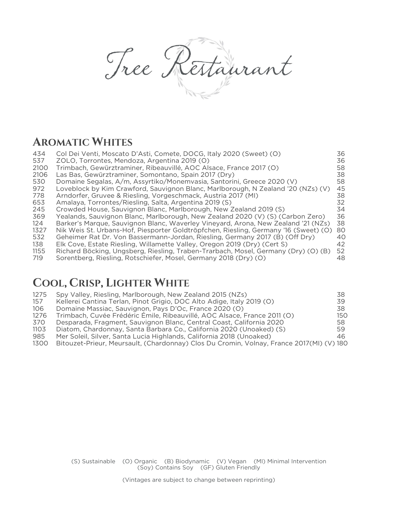Tree Restaurant

# **AROMATIC WHITES**

| 434  | Col Dei Venti, Moscato D'Asti, Comete, DOCG, Italy 2020 (Sweet) (O)                  | 36              |
|------|--------------------------------------------------------------------------------------|-----------------|
| 537  | ZOLO, Torrontes, Mendoza, Argentina 2019 (O)                                         | 36              |
| 2100 | Trimbach, Gewürztraminer, Ribeauvillé, AOC Alsace, France 2017 (O)                   | 58.             |
| 2106 | Las Bas, Gewürztraminer, Somontano, Spain 2017 (Dry)                                 | 38              |
| 530  | Domaine Segalas, A/m, Assyrtiko/Monemvasia, Santorini, Greece 2020 (V)               | 58              |
| 972  | Loveblock by Kim Crawford, Sauvignon Blanc, Marlborough, N Zealand '20 (NZs) (V)     | 45              |
| 778  | Arndorfer, Gruvee & Riesling, Vorgeschmack, Austria 2017 (MI)                        | 38              |
| 653  | Amalaya, Torrontes/Riesling, Salta, Argentina 2019 (S)                               | 32              |
| 245  | Crowded House, Sauvignon Blanc, Marlborough, New Zealand 2019 (S)                    | 34              |
| 369  | Yealands, Sauvignon Blanc, Marlborough, New Zealand 2020 (V) (S) (Carbon Zero)       | 36              |
| 124  | Barker's Marque, Sauvignon Blanc, Waverley Vineyard, Arona, New Zealand '21 (NZs)    | 38              |
| 1327 | Nik Weis St. Urbans-Hof, Piesporter Goldtröpfchen, Riesling, Germany '16 (Sweet) (O) | 80              |
| 532  | Geheimer Rat Dr. Von Bassermann-Jordan, Riesling, Germany 2017 (B) (Off Dry)         | 40 <sup>°</sup> |
| 138  | Elk Cove, Estate Riesling, Willamette Valley, Oregon 2019 (Dry) (Cert S)             | 42              |
| 1155 | Richard Böcking, Ungsberg, Riesling, Traben-Trarbach, Mosel, Germany (Dry) (O) (B)   | 52              |
| 719  | Sorentberg, Riesling, Rotschiefer, Mosel, Germany 2018 (Dry) (O)                     | 48              |

# **COOL, CRISP, LIGHTER WHITE**

| 1275 | Spy Valley, Riesling, Marlborough, New Zealand 2015 (NZs)                                | 38. |
|------|------------------------------------------------------------------------------------------|-----|
| 157  | Kellerei Cantina Terlan, Pinot Grigio, DOC Alto Adige, Italy 2019 (O)                    | 39  |
| 106  | Domaine Massiac, Sauvignon, Pays D'Oc, France 2020 (O)                                   | 38  |
| 1276 | Trimbach, Cuvée Frédéric Emile, Ribeauvillé, AOC Alsace, France 2011 (O)                 | 150 |
| 370  | Desparada, Fragment, Sauvignon Blanc, Central Coast, California 2020                     | 58  |
| 1103 | Diatom, Chardonnay, Santa Barbara Co., California 2020 (Unoaked) (S)                     | 59. |
| 985  | Mer Soleil, Silver, Santa Lucia Highlands, California 2018 (Unoaked)                     | 46. |
| 1300 | Bitouzet-Prieur, Meursault, (Chardonnay) Clos Du Cromin, Volnay, France 2017(MI) (V) 180 |     |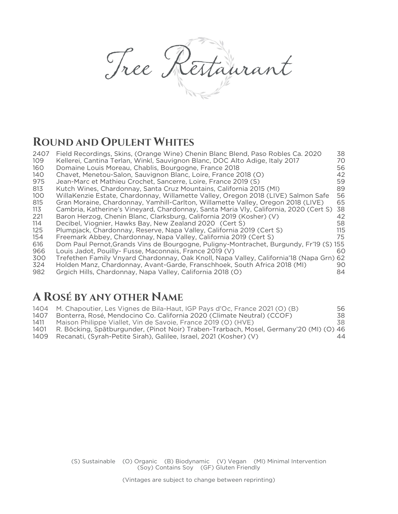Tree Restaurant

# **ROUND AND OPULENT WHITES**

| 2407 | Field Recordings, Skins, (Orange Wine) Chenin Blanc Blend, Paso Robles Ca. 2020         | 38  |
|------|-----------------------------------------------------------------------------------------|-----|
| 109  | Kellerei, Cantina Terlan, Winkl, Sauvignon Blanc, DOC Alto Adige, Italy 2017            | 70  |
| 160  | Domaine Louis Moreau, Chablis, Bourgogne, France 2018                                   | 56  |
| 140  | Chavet, Menetou-Salon, Sauvignon Blanc, Loire, France 2018 (O)                          | 42  |
| 975  | Jean-Marc et Mathieu Crochet, Sancerre, Loire, France 2019 (S)                          | 59  |
| 813  | Kutch Wines, Chardonnay, Santa Cruz Mountains, California 2015 (MI)                     | 89  |
| 100  | WillaKenzie Estate, Chardonnay, Willamette Valley, Oregon 2018 (LIVE) Salmon Safe       | 56  |
| 815  | Gran Moraine, Chardonnay, Yamhill-Carlton, Willamette Valley, Oregon 2018 (LIVE)        | 65  |
| 113  | Cambria, Katherine's Vineyard, Chardonnay, Santa Maria Vly, California, 2020 (Cert S)   | 38  |
| 221  | Baron Herzog, Chenin Blanc, Clarksburg, California 2019 (Kosher) (V)                    | 42  |
| 114  | Decibel, Viognier, Hawks Bay, New Zealand 2020 (Cert S)                                 | 58  |
| 125  | Plumpjack, Chardonnay, Reserve, Napa Valley, California 2019 (Cert S)                   | 115 |
| 154  | Freemark Abbey, Chardonnay, Napa Valley, California 2019 (Cert S)                       | 75  |
| 616  | Dom Paul Pernot, Grands Vins de Bourgogne, Puligny-Montrachet, Burgundy, Fr'19 (S) 155  |     |
| 966  | Louis Jadot, Pouilly- Fusse, Maconnais, France 2019 (V)                                 | 60  |
| 300  | Trefethen Family Vnyard Chardonnay, Oak Knoll, Napa Valley, California'18 (Napa Grn) 62 |     |
| 324  | Holden Manz, Chardonnay, Avant-Garde, Franschhoek, South Africa 2018 (MI)               | 90  |
| 982  | Grgich Hills, Chardonnay, Napa Valley, California 2018 (O)                              | 84  |

## **A ROSÉ BY ANY OTHER NAME**

|      | 1404 M. Chapoutier, Les Vignes de Bila-Haut, IGP Pays d'Oc, France 2021 (O) (B)        | 56. |
|------|----------------------------------------------------------------------------------------|-----|
| 1407 | Bonterra, Rosé, Mendocino Co. California 2020 (Climate Neutral) (CCOF)                 | 38. |
| 1411 | Maison Philippe Viallet, Vin de Savoie, France 2019 (O) (HVE)                          | 38. |
| 1401 | R. Böcking, Spätburgunder, (Pinot Noir) Traben-Trarbach, Mosel, Germany'20 (MI) (O) 46 |     |
| 1409 | Recanati, (Syrah-Petite Sirah), Galilee, Israel, 2021 (Kosher) (V)                     | 44  |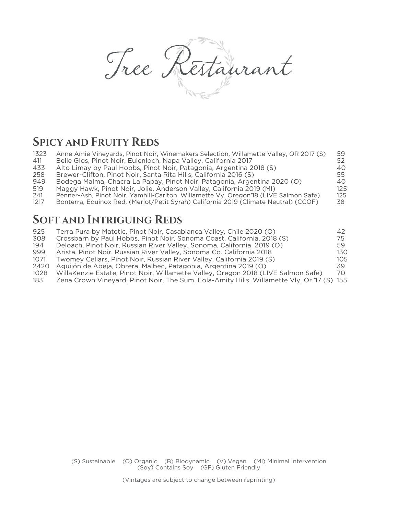Tree Restaurant

# **SPICY AND FRUITY REDS**

| 1323 | Anne Amie Vineyards, Pinot Noir, Winemakers Selection, Willamette Valley, OR 2017 (S) | 59  |
|------|---------------------------------------------------------------------------------------|-----|
| 411  | Belle Glos, Pinot Noir, Eulenloch, Napa Valley, California 2017                       | 52  |
| 433  | Alto Limay by Paul Hobbs, Pinot Noir, Patagonia, Argentina 2018 (S)                   | 40  |
| 258  | Brewer-Clifton, Pinot Noir, Santa Rita Hills, California 2016 (S)                     | 55  |
| 949  | Bodega Malma, Chacra La Papay, Pinot Noir, Patagonia, Argentina 2020 (O)              | 40  |
| 519  | Maggy Hawk, Pinot Noir, Jolie, Anderson Valley, California 2019 (MI)                  | 125 |
| 241  | Penner-Ash, Pinot Noir, Yamhill-Carlton, Willamette Vy, Oregon'18 (LIVE Salmon Safe)  | 125 |
| 1217 | Bonterra, Equinox Red, (Merlot/Petit Syrah) California 2019 (Climate Neutral) (CCOF)  | 38  |

# **SOFT AND INTRIGUING REDS**

| 925  | Terra Pura by Matetic, Pinot Noir, Casablanca Valley, Chile 2020 (O)                       | 42. |
|------|--------------------------------------------------------------------------------------------|-----|
| 308  | Crossbarn by Paul Hobbs, Pinot Noir, Sonoma Coast, California, 2018 (S)                    | 75. |
| 194  | Deloach, Pinot Noir, Russian River Valley, Sonoma, California, 2019 (O)                    | 59  |
| 999  | Arista, Pinot Noir, Russian River Valley, Sonoma Co. California 2018                       | 130 |
| 1071 | Twomey Cellars, Pinot Noir, Russian River Valley, California 2019 (S)                      | 105 |
| 2420 | Aguijón de Abeja, Obrera, Malbec, Patagonia, Argentina 2019 (O)                            | 39. |
| 1028 | WillaKenzie Estate, Pinot Noir, Willamette Valley, Oregon 2018 (LIVE Salmon Safe)          | 70. |
| 183  | Zena Crown Vineyard, Pinot Noir, The Sum, Eola-Amity Hills, Willamette Vly, Or.'17 (S) 155 |     |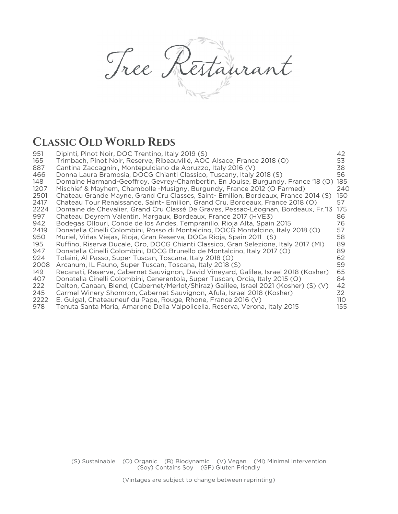Tree Restaurant

# **CLASSIC OLD WORLD REDS**

| 951  | Dipinti, Pinot Noir, DOC Trentino, Italy 2019 (S)                                     | 42   |
|------|---------------------------------------------------------------------------------------|------|
| 165  | Trimbach, Pinot Noir, Reserve, Ribeauvillé, AOC Alsace, France 2018 (O)               | 53   |
| 887  | Cantina Zaccagnini, Montepulciano de Abruzzo, Italy 2016 (V)                          | 38   |
| 466  | Donna Laura Bramosia, DOCG Chianti Classico, Tuscany, Italy 2018 (S)                  | 56   |
| 148  | Domaine Harmand-Geoffroy, Gevrey-Chambertin, En Jouise, Burgundy, France '18 (O)      | 185  |
| 1207 | Mischief & Mayhem, Chambolle -Musigny, Burgundy, France 2012 (O Farmed)               | 240  |
| 2501 | Chateau Grande Mayne, Grand Cru Classes, Saint- Emilion, Bordeaux, France 2014 (S)    | 150  |
| 2417 | Chateau Tour Renaissance, Saint- Emilion, Grand Cru, Bordeaux, France 2018 (O)        | 57   |
| 2224 | Domaine de Chevalier, Grand Cru Classé De Graves, Pessac-Léognan, Bordeaux, Fr.'13    | 175  |
| 997  | Chateau Deyrem Valentin, Margaux, Bordeaux, France 2017 (HVE3)                        | 86   |
| 942  | Bodegas Ollouri, Conde de los Andes, Tempranillo, Rioja Alta, Spain 2015              | 76   |
| 2419 | Donatella Cinelli Colombini, Rosso di Montalcino, DOCG Montalcino, Italy 2018 (O)     | 57   |
| 950  | Muriel, Viñas Viejas, Rioja, Gran Reserva, DOCa Rioja, Spain 2011 (S)                 | 58   |
| 195  | Ruffino, Riserva Ducale, Oro, DOCG Chianti Classico, Gran Selezione, Italy 2017 (MI)  | 89   |
| 947  | Donatella Cinelli Colombini, DOCG Brunello de Montalcino, Italy 2017 (O)              | 89   |
| 924  | Tolaini, Al Passo, Super Tuscan, Toscana, Italy 2018 (O)                              | 62   |
| 2008 | Arcanum, IL Fauno, Super Tuscan, Toscana, Italy 2018 (S)                              | 59   |
| 149  | Recanati, Reserve, Cabernet Sauvignon, David Vineyard, Galilee, Israel 2018 (Kosher)  | 65   |
| 407  | Donatella Cinelli Colombini, Cenerentola, Super Tuscan, Orcia, Italy 2015 (O)         | 84   |
| 222  | Dalton, Canaan, Blend, (Cabernet/Merlot/Shiraz) Galilee, Israel 2021 (Kosher) (S) (V) | 42   |
| 245  | Carmel Winery Shomron, Cabernet Sauvignon, Afula, Israel 2018 (Kosher)                | 32   |
| 2222 | E. Guigal, Chateauneuf du Pape, Rouge, Rhone, France 2016 (V)                         | 11 O |
| 978  | Tenuta Santa Maria, Amarone Della Valpolicella, Reserva, Verona, Italy 2015           | 155  |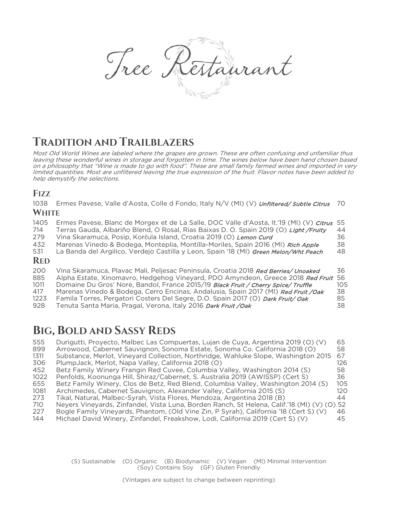Tree K Estaurant

# **TRADITION AND TRAILBLAZERS**

Most Old World Wines are labeled where the grapes are grown. These are often confusing and unfamiliar thus leaving these wonderful wines in storage and forgotten in time. The wines below have been hand chosen based on a philosophy that "Wine is made to go with food". These are small family farmed wines and imported in very limited quantities. Most are unfiltered leaving the true expression of the fruit. Flavor notes have been added to help demystify the selections.

## **FIZZ**

1038 Ermes Pavese, Valle d'Aosta, Colle d Fondo, Italy N/V (MI) (V) Unfiltered/ Subtle Citrus 70 **WHITE**

| 1405<br>714<br>279<br>432 | Ermes Pavese, Blanc de Morgex et de La Salle, DOC Valle d'Aosta, It.'19 (MI) (V) Citrus<br>Terras Gauda, Albariño Blend, O Rosal, Rias Baixas D. O. Spain 2019 (O) Light / Fruity<br>Vina Skaramuca, Posip, Korčula Island, Croatia 2019 (O) Lemon Curd<br>Marenas Vinedo & Bodega, Monteplia, Montilla-Moriles, Spain 2016 (MI) Rich Apple        | 55<br>44<br>36<br>38 |
|---------------------------|----------------------------------------------------------------------------------------------------------------------------------------------------------------------------------------------------------------------------------------------------------------------------------------------------------------------------------------------------|----------------------|
| 531<br><b>RED</b>         | La Banda del Argilico, Verdejo Castilla y Leon, Spain '18 (MI) Green Melon/Wht Peach                                                                                                                                                                                                                                                               | 48                   |
| 200<br>885<br>1011<br>417 | Vina Skaramuca, Plavac Mali, Peljesac Peninsula, Croatia 2018 Red Berries/ Unoaked<br>Alpha Estate, Xinomavro, Hedgehog Vineyard, PDO Amyndeon, Greece 2018 Red Fruit 56<br>Domaine Du Gros' Nore, Bandol, France 2015/19 Black Fruit / Cherry Spice/ Truffle<br>Marenas Vinedo & Bodega, Cerro Encinas, Andalusia, Spain 2017 (MI) Red Fruit /Oak | 36<br>105<br>38      |

| 1223 | Famila Torres, Pergatori Costers Del Segre, D.O. Spain 2017 (O) <i>Dark Fruit/ Oak</i> | 85 |
|------|----------------------------------------------------------------------------------------|----|
| 928  | Tenuta Santa Maria, Pragal, Verona, Italy 2016 Dark Fruit / Oak                        |    |

# **BIG, BOLD AND SASSY REDS**

| 555  | Durigutti, Proyecto, Malbec Las Compuertas, Lujan de Cuya, Argentina 2019 (O) (V)           | 65   |
|------|---------------------------------------------------------------------------------------------|------|
| 899  | Arrowood, Cabernet Sauvignon, Sonoma Estate, Sonoma Co. California 2018 (O)                 | 58   |
| 1311 | Substance, Merlot, Vineyard Collection, Northridge, Wahluke Slope, Washington 2015          | 67   |
| 306  | PlumpJack, Merlot, Napa Valley, California 2018 (O)                                         | 126  |
| 452  | Betz Family Winery Frangin Red Cuvee, Columbia Valley, Washington 2014 (S)                  | 58.  |
| 1022 | Penfolds, Koonunga Hill, Shiraz/Cabernet, S. Australia 2019 (AWISSP) (Cert S)               | 36   |
| 655  | Betz Family Winery, Clos de Betz, Red Blend, Columbia Valley, Washington 2014 (S)           | 105  |
| 1081 | Archimedes, Cabernet Sauvignon, Alexander Valley, California 2015 (S)                       | 12 O |
| 273  | Tikal, Natural, Malbec-Syrah, Vista Flores, Mendoza, Argentina 2018 (B)                     | 44   |
| 710  | Neyers Vineyards, Zinfandel, Vista Luna, Borden Ranch, St Helena, Calif.'18 (MI) (V) (O) 52 |      |
| 227  | Bogle Family Vineyards, Phantom, (Old Vine Zin, P Syrah), California '18 (Cert S) (V)       | 46.  |
| 144  | Michael David Winery, Zinfandel, Freakshow, Lodi, California 2019 (Cert S) (V)              | 45   |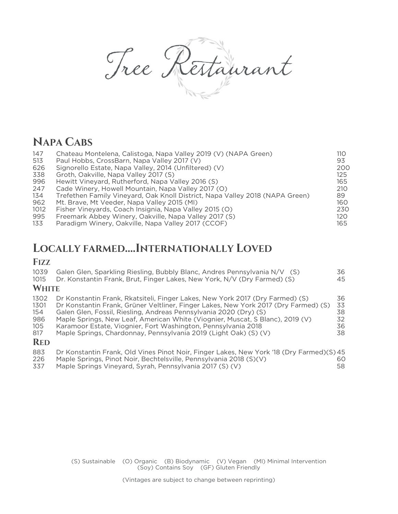Tree Restaurant

# **NAPA CABS**

| 147  | Chateau Montelena, Calistoga, Napa Valley 2019 (V) (NAPA Green)              | 110 |
|------|------------------------------------------------------------------------------|-----|
| 513  | Paul Hobbs, CrossBarn, Napa Valley 2017 (V)                                  | 93  |
| 626  | Signorello Estate, Napa Valley, 2014 (Unfiltered) (V)                        | 200 |
| 338  | Groth, Oakville, Napa Valley 2017 (S)                                        | 125 |
| 996  | Hewitt Vineyard, Rutherford, Napa Valley 2016 (S)                            | 165 |
| 247  | Cade Winery, Howell Mountain, Napa Valley 2017 (O)                           | 210 |
| 134  | Trefethen Family Vineyard, Oak Knoll District, Napa Valley 2018 (NAPA Green) | 89  |
| 962  | Mt. Brave, Mt Veeder, Napa Valley 2015 (MI)                                  | 160 |
| 1012 | Fisher Vineyards, Coach Insignia, Napa Valley 2015 (O)                       | 230 |
| 995  | Freemark Abbey Winery, Oakville, Napa Valley 2017 (S)                        | 120 |
| 133  | Paradigm Winery, Oakville, Napa Valley 2017 (CCOF)                           | 165 |

## **LOCALLY FARMED….INTERNATIONALLY LOVED**

## **FIZZ**

| 1039<br>1015                                           | Galen Glen, Sparkling Riesling, Bubbly Blanc, Andres Pennsylvania N/V (S)<br>Dr. Konstantin Frank, Brut, Finger Lakes, New York, N/V (Dry Farmed) (S)                                                                                                                                                                                                                                                                                                           | 36<br>45                         |
|--------------------------------------------------------|-----------------------------------------------------------------------------------------------------------------------------------------------------------------------------------------------------------------------------------------------------------------------------------------------------------------------------------------------------------------------------------------------------------------------------------------------------------------|----------------------------------|
| <b>WHITE</b>                                           |                                                                                                                                                                                                                                                                                                                                                                                                                                                                 |                                  |
| 1302<br>1301<br>154<br>986<br>105<br>817<br><b>RED</b> | Dr Konstantin Frank, Rkatsiteli, Finger Lakes, New York 2017 (Dry Farmed) (S)<br>Dr Konstantin Frank, Grüner Veltliner, Finger Lakes, New York 2017 (Dry Farmed) (S)<br>Galen Glen, Fossil, Riesling, Andreas Pennsylvania 2020 (Dry) (S)<br>Maple Springs, New Leaf, American White (Viognier, Muscat, S Blanc), 2019 (V)<br>Karamoor Estate, Viognier, Fort Washington, Pennsylvania 2018<br>Maple Springs, Chardonnay, Pennsylvania 2019 (Light Oak) (S) (V) | 36<br>33<br>38<br>32<br>36<br>38 |
| 883                                                    | Dr Konstantin Frank, Old Vines Pinot Noir, Finger Lakes, New York '18 (Dry Farmed)(S) 45                                                                                                                                                                                                                                                                                                                                                                        |                                  |

 Maple Springs, Pinot Noir, Bechtelsville, Pennsylvania 2018 (S)(V) 60 Maple Springs Vineyard, Syrah, Pennsylvania 2017 (S) (V)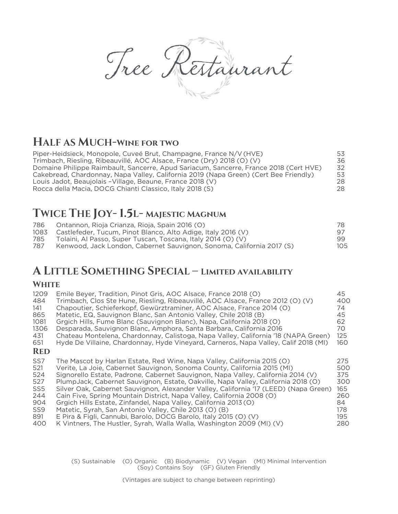Tree Restaurant

# **HALF AS MUCH-Wine for two**

| Piper-Heidsieck, Monopole, Cuveé Brut, Champagne, France N/V (HVE)                    | 53 |
|---------------------------------------------------------------------------------------|----|
| Trimbach, Riesling, Ribeauvillé, AOC Alsace, France (Dry) 2018 (O) (V)                | 36 |
| Domaine Philippe Raimbault, Sancerre, Apud Sariacum, Sancerre, France 2018 (Cert HVE) | 32 |
| Cakebread, Chardonnay, Napa Valley, California 2019 (Napa Green) (Cert Bee Friendly)  | 53 |
| Louis Jadot, Beaujolais - Village, Beaune, France 2018 (V)                            | 28 |
| Rocca della Macia, DOCG Chianti Classico, Italy 2018 (S)                              | 28 |

# **TWICE THE JOY- 1.5L- Majestic Magnum**

| 786  | Ontannon, Rioja Crianza, Rioja, Spain 2016 (O)                        | 78. |
|------|-----------------------------------------------------------------------|-----|
| 1083 | Castlefeder, Tucum, Pinot Blanco, Alto Adige, Italy 2016 (V)          |     |
| 785  | Tolaini, Al Passo, Super Tuscan, Toscana, Italy 2014 (O) (V)          | 99  |
| 787  | Kenwood, Jack London, Cabernet Sauvignon, Sonoma, California 2017 (S) | 105 |
|      |                                                                       |     |

# **A LITTLE SOMETHING SPECIAL – Limited availability**

#### **White**

| 1209<br>484<br>141<br>865<br>1081<br>1306<br>431<br>651<br><b>RED</b> | Emile Beyer, Tradition, Pinot Gris, AOC Alsace, France 2018 (O)<br>Trimbach, Clos Ste Hune, Riesling, Ribeauvillé, AOC Alsace, France 2012 (O) (V)<br>Chapoutier, Schieferkopf, Gewürztraminer, AOC Alsace, France 2014 (O)<br>Matetic, EQ, Sauvignon Blanc, San Antonio Valley, Chile 2018 (B)<br>Grgich Hills, Fume Blanc (Sauvignon Blanc), Napa, California 2018 (O)<br>Desparada, Sauvignon Blanc, Amphora, Santa Barbara, California 2016<br>Chateau Montelena, Chardonnay, Calistoga, Napa Valley, California '18 (NAPA Green)<br>Hyde De Villaine, Chardonnay, Hyde Vineyard, Carneros, Napa Valley, Calif 2018 (MI) | 45<br>400<br>74<br>45<br>62<br>70.<br>125<br>160 |
|-----------------------------------------------------------------------|------------------------------------------------------------------------------------------------------------------------------------------------------------------------------------------------------------------------------------------------------------------------------------------------------------------------------------------------------------------------------------------------------------------------------------------------------------------------------------------------------------------------------------------------------------------------------------------------------------------------------|--------------------------------------------------|
| SS <sub>7</sub>                                                       | The Mascot by Harlan Estate, Red Wine, Napa Valley, California 2015 (O)                                                                                                                                                                                                                                                                                                                                                                                                                                                                                                                                                      | 275                                              |
| 521                                                                   | Verite, La Joie, Cabernet Sauvignon, Sonoma County, California 2015 (MI)                                                                                                                                                                                                                                                                                                                                                                                                                                                                                                                                                     | 500                                              |
| 524                                                                   | Signorello Estate, Padrone, Cabernet Sauvignon, Napa Valley, California 2014 (V)                                                                                                                                                                                                                                                                                                                                                                                                                                                                                                                                             | 375                                              |
| 527                                                                   | PlumpJack, Cabernet Sauvignon, Estate, Oakville, Napa Valley, California 2018 (O)                                                                                                                                                                                                                                                                                                                                                                                                                                                                                                                                            | 300                                              |
| SS5                                                                   | Silver Oak, Cabernet Sauvignon, Alexander Valley, California '17 (LEED) (Napa Green)                                                                                                                                                                                                                                                                                                                                                                                                                                                                                                                                         | 165                                              |
| 244                                                                   | Cain Five, Spring Mountain District, Napa Valley, California 2008 (O)                                                                                                                                                                                                                                                                                                                                                                                                                                                                                                                                                        | 260                                              |
| 904                                                                   | Grgich Hills Estate, Zinfandel, Napa Valley, California 2013 (O)                                                                                                                                                                                                                                                                                                                                                                                                                                                                                                                                                             | 84                                               |
| SS9                                                                   | Matetic, Syrah, San Antonio Valley, Chile 2013 (O) (B)                                                                                                                                                                                                                                                                                                                                                                                                                                                                                                                                                                       | 178                                              |
| 891                                                                   | E Pira & Figli, Cannubi, Barolo, DOCG Barolo, Italy 2015 (O) (V)                                                                                                                                                                                                                                                                                                                                                                                                                                                                                                                                                             | 195                                              |
| 400                                                                   | K Vintners, The Hustler, Syrah, Walla Walla, Washington 2009 (MI) (V)                                                                                                                                                                                                                                                                                                                                                                                                                                                                                                                                                        | 280                                              |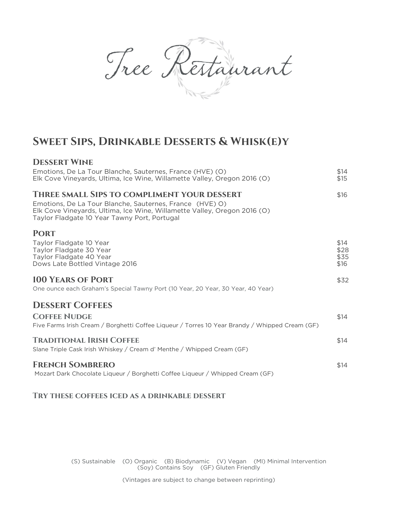Tree Restaurant

# **Sweet Sips, Drinkable Desserts & Whisk(e)y**

| <b>DESSERT WINE</b>                                                                                                                                                                  |                              |
|--------------------------------------------------------------------------------------------------------------------------------------------------------------------------------------|------------------------------|
| Emotions, De La Tour Blanche, Sauternes, France (HVE) (O)<br>Elk Cove Vineyards, Ultima, Ice Wine, Willamette Valley, Oregon 2016 (O)                                                | \$14<br>\$15                 |
| THREE SMALL SIPS TO COMPLIMENT YOUR DESSERT                                                                                                                                          | \$16                         |
| Emotions, De La Tour Blanche, Sauternes, France (HVE) O)<br>Elk Cove Vineyards, Ultima, Ice Wine, Willamette Valley, Oregon 2016 (O)<br>Taylor Fladgate 10 Year Tawny Port, Portugal |                              |
| <b>PORT</b>                                                                                                                                                                          |                              |
| Taylor Fladgate 10 Year<br>Taylor Fladgate 30 Year<br>Taylor Fladgate 40 Year<br>Dows Late Bottled Vintage 2016                                                                      | \$14<br>\$28<br>\$35<br>\$16 |
| <b>100 YEARS OF PORT</b>                                                                                                                                                             | \$32                         |
| One ounce each Graham's Special Tawny Port (10 Year, 20 Year, 30 Year, 40 Year)                                                                                                      |                              |
| <b>DESSERT COFFEES</b>                                                                                                                                                               |                              |
| <b>COFFEE NUDGE</b>                                                                                                                                                                  | \$14                         |
| Five Farms Irish Cream / Borghetti Coffee Liqueur / Torres 10 Year Brandy / Whipped Cream (GF)                                                                                       |                              |
| <b>TRADITIONAL IRISH COFFEE</b>                                                                                                                                                      | \$14                         |
| Slane Triple Cask Irish Whiskey / Cream d' Menthe / Whipped Cream (GF)                                                                                                               |                              |
| <b>FRENCH SOMBRERO</b>                                                                                                                                                               | \$14                         |
| Mozart Dark Chocolate Liqueur / Borghetti Coffee Liqueur / Whipped Cream (GF)                                                                                                        |                              |

**Try these coffees iced as a drinkable dessert**

(S) Sustainable (O) Organic (B) Biodynamic (V) Vegan (MI) Minimal Intervention (Soy) Contains Soy (GF) Gluten Friendly